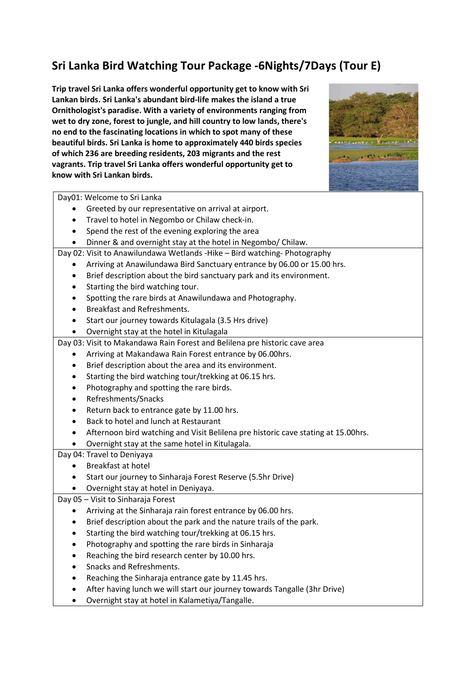## Sri Lanka Bird Watching Tour Package -6Nights/7Days (Tour E)

Trip travel Sri Lanka offers wonderful opportunity get to know with Sri Lankan birds. Sri Lanka's abundant bird-life makes the island a true Ornithologist's paradise. With a variety of environments ranging from wet to dry zone, forest to jungle, and hill country to low lands, there's no end to the fascinating locations in which to spot many of these beautiful birds. Sri Lanka is home to approximately 440 birds species of which 236 are breeding residents, 203 migrants and the rest vagrants. Trip travel Sri Lanka offers wonderful opportunity get to know with Sri Lankan birds.



Day01: Welcome to Sri Lanka

- Greeted by our representative on arrival at airport.
- Travel to hotel in Negombo or Chilaw check-in.
- Spend the rest of the evening exploring the area
- Dinner & and overnight stay at the hotel in Negombo/ Chilaw.

Day 02: Visit to Anawilundawa Wetlands -Hike – Bird watching- Photography

- Arriving at Anawilundawa Bird Sanctuary entrance by 06.00 or 15.00 hrs.
- Brief description about the bird sanctuary park and its environment.
- Starting the bird watching tour.
- Spotting the rare birds at Anawilundawa and Photography.
- Breakfast and Refreshments.
- Start our journey towards Kitulagala (3.5 Hrs drive)
- Overnight stay at the hotel in Kitulagala

Day 03: Visit to Makandawa Rain Forest and Belilena pre historic cave area

- Arriving at Makandawa Rain Forest entrance by 06.00hrs.
- Brief description about the area and its environment.
- Starting the bird watching tour/trekking at 06.15 hrs.
- Photography and spotting the rare birds.
- Refreshments/Snacks
- Return back to entrance gate by 11.00 hrs.
- Back to hotel and lunch at Restaurant
- Afternoon bird watching and Visit Belilena pre historic cave stating at 15.00hrs.
- Overnight stay at the same hotel in Kitulagala.

## Day 04: Travel to Deniyaya

- Breakfast at hotel
- Start our journey to Sinharaja Forest Reserve (5.5hr Drive)
- Overnight stay at hotel in Deniyaya.

## Day 05 – Visit to Sinharaja Forest

- Arriving at the Sinharaja rain forest entrance by 06.00 hrs.
- Brief description about the park and the nature trails of the park.
- Starting the bird watching tour/trekking at 06.15 hrs.
- Photography and spotting the rare birds in Sinharaja
- Reaching the bird research center by 10.00 hrs.
- Snacks and Refreshments.
- Reaching the Sinharaja entrance gate by 11.45 hrs.
- After having lunch we will start our journey towards Tangalle (3hr Drive)
- Overnight stay at hotel in Kalametiya/Tangalle.